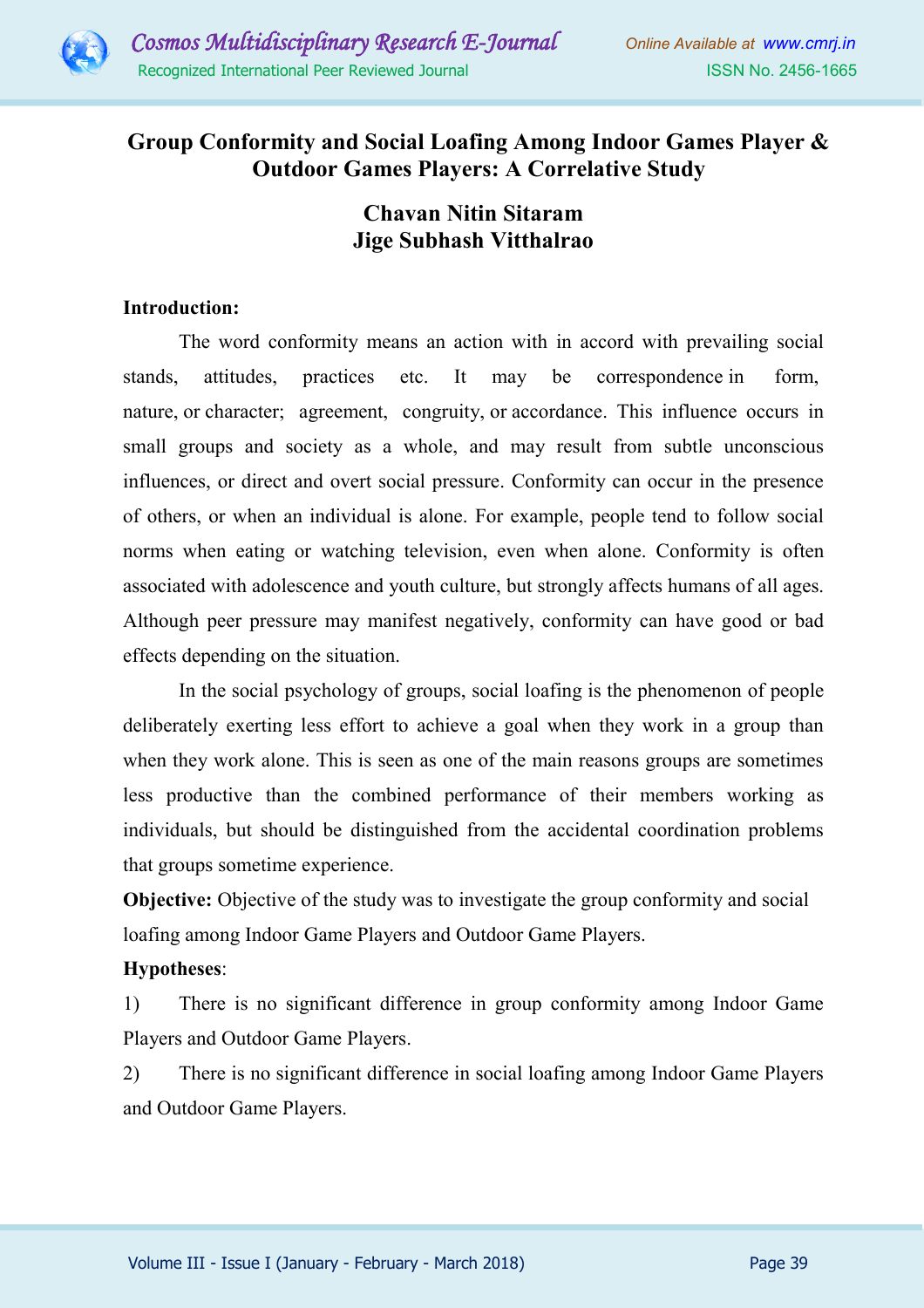

## **Group Conformity and Social Loafing Among Indoor Games Player & Outdoor Games Players: A Correlative Study**

# **Chavan Nitin Sitaram Jige Subhash Vitthalrao**

## **Introduction:**

The word conformity means an action with in accord with prevailing social stands, attitudes, practices etc. It may be correspondence in form, nature, or character; agreement, congruity, or accordance. This influence occurs in small groups and society as a whole, and may result from subtle unconscious influences, or direct and overt social pressure. Conformity can occur in the presence of others, or when an individual is alone. For example, people tend to follow social norms when eating or watching television, even when alone. Conformity is often associated with adolescence and youth culture, but strongly affects humans of all ages. Although peer pressure may manifest negatively, conformity can have good or bad effects depending on the situation.

In the social psychology of groups, social loafing is the phenomenon of people deliberately exerting less effort to achieve a goal when they work in a group than when they work alone. This is seen as one of the main reasons groups are sometimes less productive than the combined performance of their members working as individuals, but should be distinguished from the accidental coordination problems that groups sometime experience.

**Objective:** Objective of the study was to investigate the group conformity and social loafing among Indoor Game Players and Outdoor Game Players.

## **Hypotheses**:

1) There is no significant difference in group conformity among Indoor Game Players and Outdoor Game Players.

2) There is no significant difference in social loafing among Indoor Game Players and Outdoor Game Players.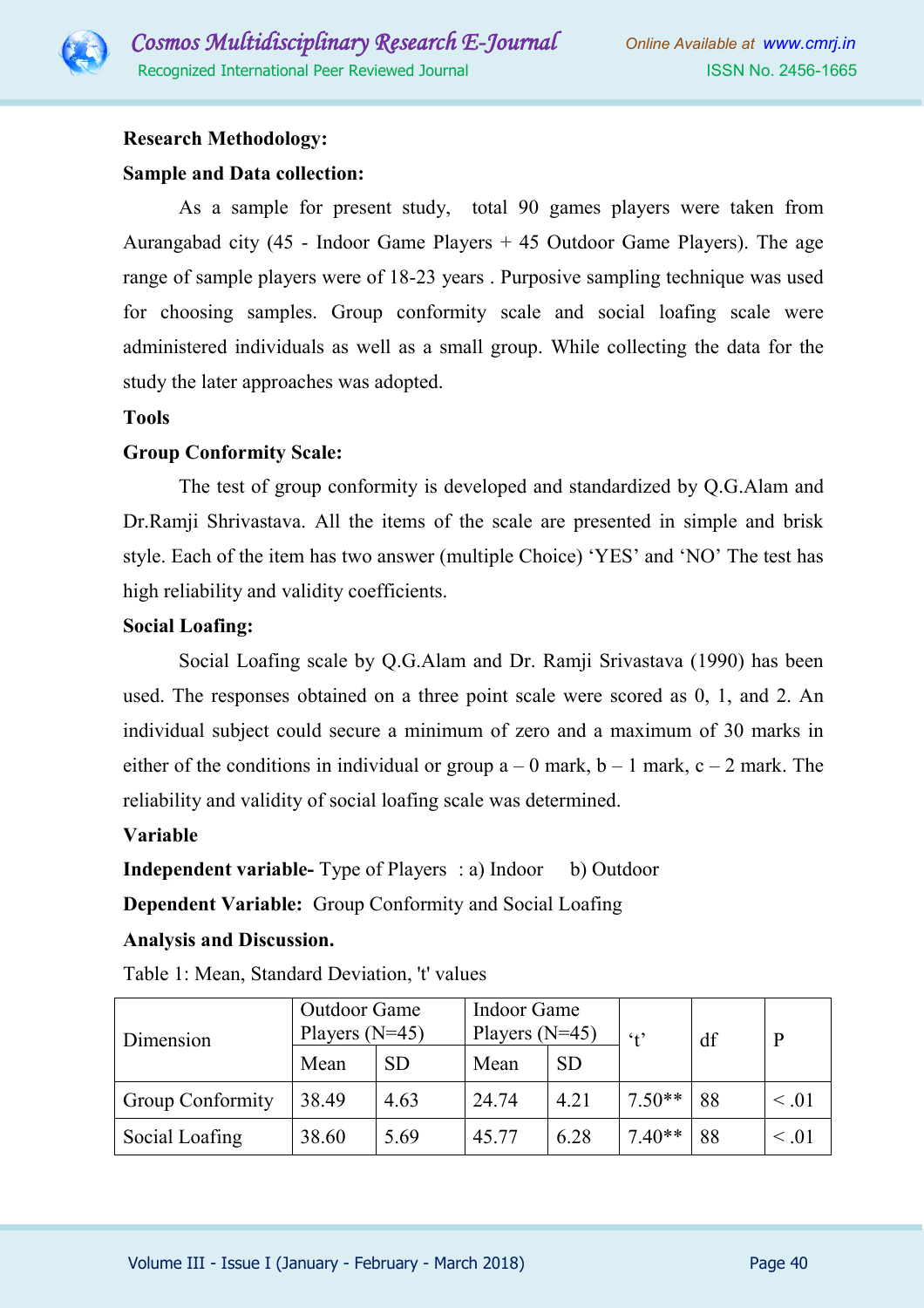

## **Research Methodology:**

## **Sample and Data collection:**

As a sample for present study, total 90 games players were taken from Aurangabad city (45 - Indoor Game Players + 45 Outdoor Game Players). The age range of sample players were of 18-23 years . Purposive sampling technique was used for choosing samples. Group conformity scale and social loafing scale were administered individuals as well as a small group. While collecting the data for the study the later approaches was adopted.

### **Tools**

## **Group Conformity Scale:**

The test of group conformity is developed and standardized by Q.G.Alam and Dr.Ramji Shrivastava. All the items of the scale are presented in simple and brisk style. Each of the item has two answer (multiple Choice) 'YES' and 'NO' The test has high reliability and validity coefficients.

## **Social Loafing:**

Social Loafing scale by Q.G.Alam and Dr. Ramji Srivastava (1990) has been used. The responses obtained on a three point scale were scored as 0, 1, and 2. An individual subject could secure a minimum of zero and a maximum of 30 marks in either of the conditions in individual or group  $a - 0$  mark,  $b - 1$  mark,  $c - 2$  mark. The reliability and validity of social loafing scale was determined.

## **Variable**

**Independent variable-** Type of Players : a) Indoor b) Outdoor

**Dependent Variable:** Group Conformity and Social Loafing

## **Analysis and Discussion.**

| Dimension               | <b>Outdoor Game</b><br>Players $(N=45)$ |           | Indoor Game<br>Players $(N=45)$ |           | $4^{\circ}$ | df |            |
|-------------------------|-----------------------------------------|-----------|---------------------------------|-----------|-------------|----|------------|
|                         | Mean                                    | <b>SD</b> | Mean                            | <b>SD</b> |             |    |            |
| <b>Group Conformity</b> | 38.49                                   | 4.63      | 24.74                           | 4.21      | $7.50**$    | 88 | $\leq .01$ |
| Social Loafing          | 38.60                                   | 5.69      | 45.77                           | 6.28      | $7.40**$    | 88 | $\leq .01$ |

Table 1: Mean, Standard Deviation, 't' values